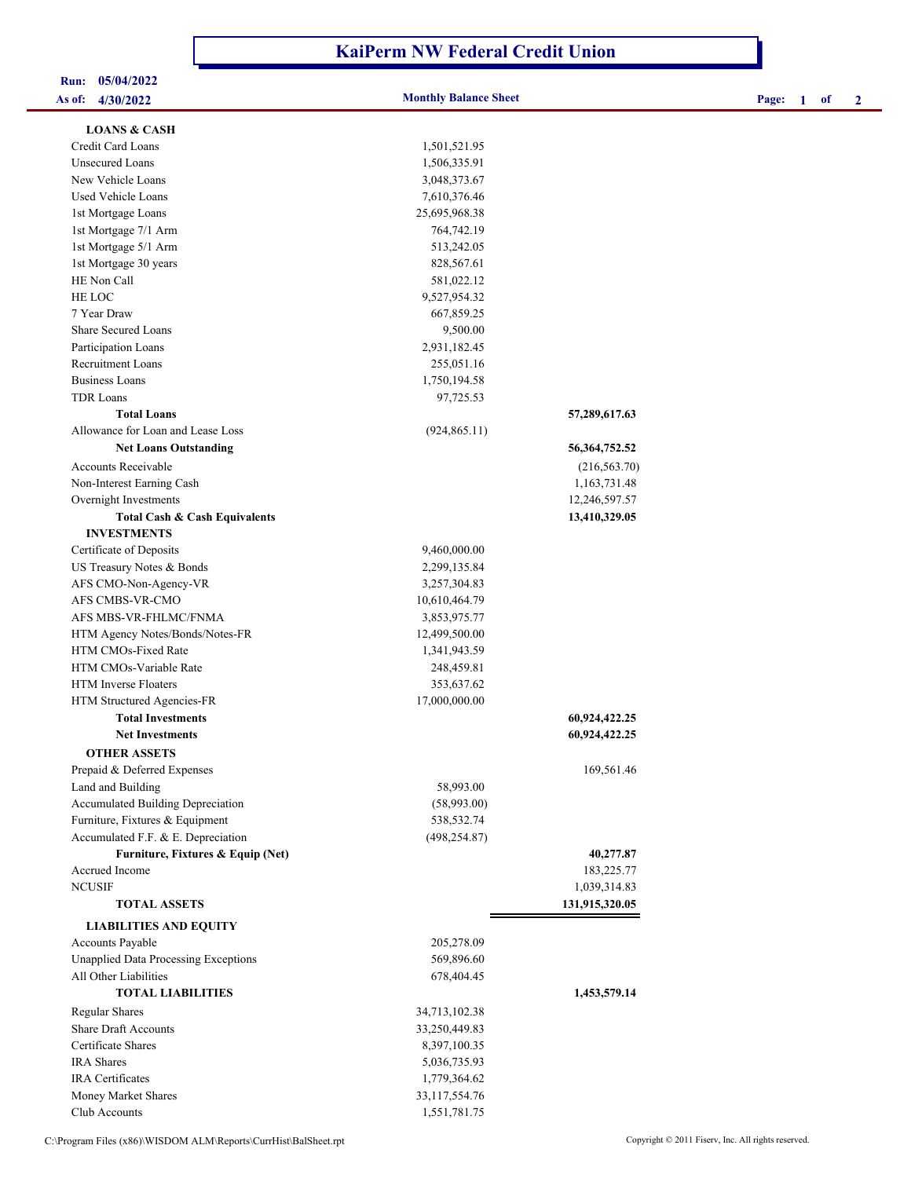## **KaiPerm NW Federal Credit Union**

# **Run: 05/04/2022**

**As of: 4/30/2022 Monthly Balance Sheet Page: 1 of 2**

| <b>LOANS &amp; CASH</b>                     |               |                  |
|---------------------------------------------|---------------|------------------|
| Credit Card Loans                           | 1,501,521.95  |                  |
| Unsecured Loans                             | 1,506,335.91  |                  |
| New Vehicle Loans                           | 3,048,373.67  |                  |
| <b>Used Vehicle Loans</b>                   | 7,610,376.46  |                  |
| 1st Mortgage Loans                          | 25,695,968.38 |                  |
| 1st Mortgage 7/1 Arm                        | 764,742.19    |                  |
| 1st Mortgage 5/1 Arm                        | 513,242.05    |                  |
| 1st Mortgage 30 years                       | 828,567.61    |                  |
| HE Non Call                                 | 581,022.12    |                  |
| HE LOC                                      | 9,527,954.32  |                  |
| 7 Year Draw                                 | 667,859.25    |                  |
| <b>Share Secured Loans</b>                  | 9,500.00      |                  |
| Participation Loans                         | 2,931,182.45  |                  |
| Recruitment Loans                           | 255,051.16    |                  |
| <b>Business Loans</b>                       | 1,750,194.58  |                  |
| <b>TDR Loans</b>                            | 97,725.53     |                  |
| <b>Total Loans</b>                          |               | 57,289,617.63    |
| Allowance for Loan and Lease Loss           | (924, 865.11) |                  |
| <b>Net Loans Outstanding</b>                |               | 56, 364, 752. 52 |
| <b>Accounts Receivable</b>                  |               | (216, 563.70)    |
| Non-Interest Earning Cash                   |               | 1,163,731.48     |
| Overnight Investments                       |               | 12,246,597.57    |
| Total Cash & Cash Equivalents               |               | 13,410,329.05    |
| <b>INVESTMENTS</b>                          |               |                  |
| Certificate of Deposits                     | 9,460,000.00  |                  |
| US Treasury Notes & Bonds                   | 2,299,135.84  |                  |
| AFS CMO-Non-Agency-VR                       | 3,257,304.83  |                  |
| AFS CMBS-VR-CMO                             | 10,610,464.79 |                  |
| AFS MBS-VR-FHLMC/FNMA                       | 3,853,975.77  |                  |
| HTM Agency Notes/Bonds/Notes-FR             | 12,499,500.00 |                  |
| HTM CMOs-Fixed Rate                         | 1,341,943.59  |                  |
| HTM CMOs-Variable Rate                      | 248,459.81    |                  |
| HTM Inverse Floaters                        | 353,637.62    |                  |
| HTM Structured Agencies-FR                  | 17,000,000.00 |                  |
| <b>Total Investments</b>                    |               | 60,924,422.25    |
| <b>Net Investments</b>                      |               | 60,924,422.25    |
| <b>OTHER ASSETS</b>                         |               |                  |
| Prepaid & Deferred Expenses                 |               | 169,561.46       |
| Land and Building                           | 58,993.00     |                  |
| Accumulated Building Depreciation           | (58,993.00)   |                  |
| Furniture, Fixtures & Equipment             | 538,532.74    |                  |
| Accumulated F.F. & E. Depreciation          | (498, 254.87) |                  |
| Furniture, Fixtures & Equip (Net)           |               | 40,277.87        |
| Accrued Income                              |               | 183,225.77       |
| <b>NCUSIF</b>                               |               | 1,039,314.83     |
| <b>TOTAL ASSETS</b>                         |               | 131,915,320.05   |
| <b>LIABILITIES AND EQUITY</b>               |               |                  |
| Accounts Payable                            | 205,278.09    |                  |
| <b>Unapplied Data Processing Exceptions</b> | 569,896.60    |                  |
| All Other Liabilities                       | 678,404.45    |                  |
| <b>TOTAL LIABILITIES</b>                    |               | 1,453,579.14     |
| <b>Regular Shares</b>                       | 34,713,102.38 |                  |
| <b>Share Draft Accounts</b>                 | 33,250,449.83 |                  |
| Certificate Shares                          | 8,397,100.35  |                  |
| <b>IRA</b> Shares                           | 5,036,735.93  |                  |
| <b>IRA</b> Certificates                     | 1,779,364.62  |                  |
| Money Market Shares                         | 33,117,554.76 |                  |
| Club Accounts                               | 1,551,781.75  |                  |